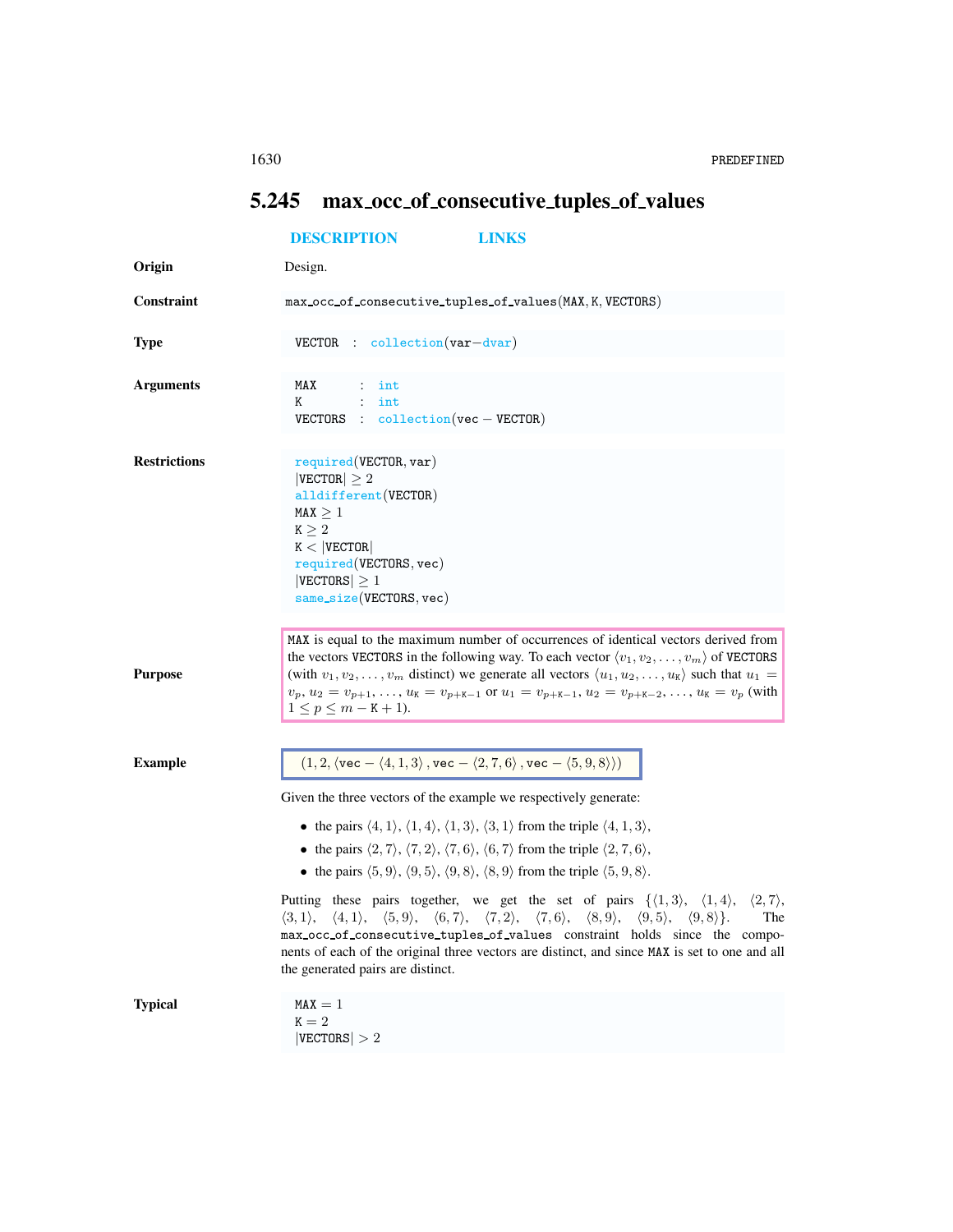## <span id="page-0-0"></span>5.245 max occ of consecutive tuples of values

|                     | <b>DESCRIPTION</b>                                                                                                                                                                                                                                                                                                                                                                                                                                                                                                                                                                                                                                                                                                                                                                                                                                                                                                                                                                                                                                                                                                                                                                                                                                                          | <b>LINKS</b> |  |
|---------------------|-----------------------------------------------------------------------------------------------------------------------------------------------------------------------------------------------------------------------------------------------------------------------------------------------------------------------------------------------------------------------------------------------------------------------------------------------------------------------------------------------------------------------------------------------------------------------------------------------------------------------------------------------------------------------------------------------------------------------------------------------------------------------------------------------------------------------------------------------------------------------------------------------------------------------------------------------------------------------------------------------------------------------------------------------------------------------------------------------------------------------------------------------------------------------------------------------------------------------------------------------------------------------------|--------------|--|
| Origin              | Design.                                                                                                                                                                                                                                                                                                                                                                                                                                                                                                                                                                                                                                                                                                                                                                                                                                                                                                                                                                                                                                                                                                                                                                                                                                                                     |              |  |
| Constraint          | max_occ_of_consecutive_tuples_of_values(MAX, K, VECTORS)                                                                                                                                                                                                                                                                                                                                                                                                                                                                                                                                                                                                                                                                                                                                                                                                                                                                                                                                                                                                                                                                                                                                                                                                                    |              |  |
| <b>Type</b>         | VECTOR : collection(var-dvar)                                                                                                                                                                                                                                                                                                                                                                                                                                                                                                                                                                                                                                                                                                                                                                                                                                                                                                                                                                                                                                                                                                                                                                                                                                               |              |  |
| <b>Arguments</b>    | MAX<br>$\ddot{\phantom{a}}$<br>int<br>K<br>$\ddot{\cdot}$<br>int<br>VECTORS : $\text{collection}(vec - VECTOR)$                                                                                                                                                                                                                                                                                                                                                                                                                                                                                                                                                                                                                                                                                                                                                                                                                                                                                                                                                                                                                                                                                                                                                             |              |  |
| <b>Restrictions</b> | required(VECTOR, var)<br>$ {\tt VECTOR}  \geq 2$<br>alldifferent (VECTOR)<br>$MAX \geq 1$<br>$K \geq 2$<br>$K <  $ VECTOR<br>required(VECTORS, vec)<br>$ {\tt VECTORS}  \geq 1$<br>$same\_size(VECTORS, vec)$                                                                                                                                                                                                                                                                                                                                                                                                                                                                                                                                                                                                                                                                                                                                                                                                                                                                                                                                                                                                                                                               |              |  |
| <b>Purpose</b>      | MAX is equal to the maximum number of occurrences of identical vectors derived from<br>the vectors VECTORS in the following way. To each vector $\langle v_1, v_2, \dots, v_m \rangle$ of VECTORS<br>(with $v_1, v_2, \ldots, v_m$ distinct) we generate all vectors $\langle u_1, u_2, \ldots, u_k \rangle$ such that $u_1 =$<br>$v_p, u_2 = v_{p+1}, \ldots, u_{\mathbb{K}} = v_{p+\mathbb{K}-1}$ or $u_1 = v_{p+\mathbb{K}-1}, u_2 = v_{p+\mathbb{K}-2}, \ldots, u_{\mathbb{K}} = v_p$ (with<br>$1 \leq p \leq m - K + 1$ ).                                                                                                                                                                                                                                                                                                                                                                                                                                                                                                                                                                                                                                                                                                                                             |              |  |
| <b>Example</b>      | $(1, 2, \langle \text{vec} - \langle 4, 1, 3 \rangle, \text{vec} - \langle 2, 7, 6 \rangle, \text{vec} - \langle 5, 9, 8 \rangle))$<br>Given the three vectors of the example we respectively generate:<br>• the pairs $\langle 4, 1 \rangle$ , $\langle 1, 4 \rangle$ , $\langle 1, 3 \rangle$ , $\langle 3, 1 \rangle$ from the triple $\langle 4, 1, 3 \rangle$ ,<br>• the pairs $\langle 2, 7 \rangle$ , $\langle 7, 2 \rangle$ , $\langle 7, 6 \rangle$ , $\langle 6, 7 \rangle$ from the triple $\langle 2, 7, 6 \rangle$ ,<br>• the pairs $\langle 5, 9 \rangle$ , $\langle 9, 5 \rangle$ , $\langle 9, 8 \rangle$ , $\langle 8, 9 \rangle$ from the triple $\langle 5, 9, 8 \rangle$ .<br>Putting these pairs together, we get the set of pairs $\{(1,3), (1,4),$<br>$\langle 2, 7 \rangle$ ,<br>$\langle 3,1\rangle, \quad \langle 4,1\rangle, \quad \langle 5,9\rangle, \quad \langle 6,7\rangle, \quad \langle 7,2\rangle, \quad \langle 7,6\rangle, \quad \langle 8,9\rangle, \quad \langle 9,5\rangle, \quad \langle 9,8\rangle \}.$<br>The<br>max_occ_of_consecutive_tuples_of_values constraint holds since the compo-<br>nents of each of the original three vectors are distinct, and since MAX is set to one and all<br>the generated pairs are distinct. |              |  |
| <b>Typical</b>      | $MAX = 1$<br>$\mathtt{K}=2$<br>$ {\tt VECTORS}  > 2$                                                                                                                                                                                                                                                                                                                                                                                                                                                                                                                                                                                                                                                                                                                                                                                                                                                                                                                                                                                                                                                                                                                                                                                                                        |              |  |